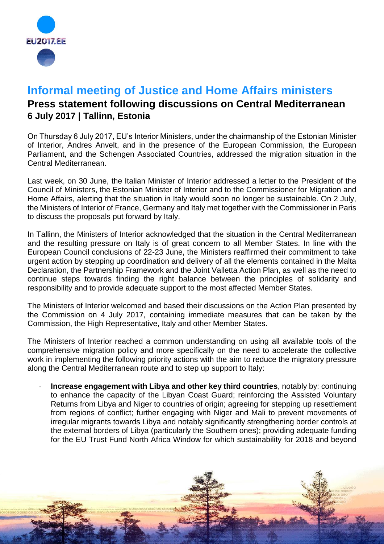

## **Informal meeting of Justice and Home Affairs ministers**

## **Press statement following discussions on Central Mediterranean 6 July 2017 | Tallinn, Estonia**

On Thursday 6 July 2017, EU's Interior Ministers, under the chairmanship of the Estonian Minister of Interior, Andres Anvelt, and in the presence of the European Commission, the European Parliament, and the Schengen Associated Countries, addressed the migration situation in the Central Mediterranean.

Last week, on 30 June, the Italian Minister of Interior addressed a letter to the President of the Council of Ministers, the Estonian Minister of Interior and to the Commissioner for Migration and Home Affairs, alerting that the situation in Italy would soon no longer be sustainable. On 2 July, the Ministers of Interior of France, Germany and Italy met together with the Commissioner in Paris to discuss the proposals put forward by Italy.

In Tallinn, the Ministers of Interior acknowledged that the situation in the Central Mediterranean and the resulting pressure on Italy is of great concern to all Member States. In line with the European Council conclusions of 22-23 June, the Ministers reaffirmed their commitment to take urgent action by stepping up coordination and delivery of all the elements contained in the Malta Declaration, the Partnership Framework and the Joint Valletta Action Plan, as well as the need to continue steps towards finding the right balance between the principles of solidarity and responsibility and to provide adequate support to the most affected Member States.

The Ministers of Interior welcomed and based their discussions on the Action Plan presented by the Commission on 4 July 2017, containing immediate measures that can be taken by the Commission, the High Representative, Italy and other Member States.

The Ministers of Interior reached a common understanding on using all available tools of the comprehensive migration policy and more specifically on the need to accelerate the collective work in implementing the following priority actions with the aim to reduce the migratory pressure along the Central Mediterranean route and to step up support to Italy:

- **Increase engagement with Libya and other key third countries**, notably by: continuing to enhance the capacity of the Libyan Coast Guard; reinforcing the Assisted Voluntary Returns from Libya and Niger to countries of origin; agreeing for stepping up resettlement from regions of conflict; further engaging with Niger and Mali to prevent movements of irregular migrants towards Libya and notably significantly strengthening border controls at the external borders of Libya (particularly the Southern ones); providing adequate funding for the EU Trust Fund North Africa Window for which sustainability for 2018 and beyond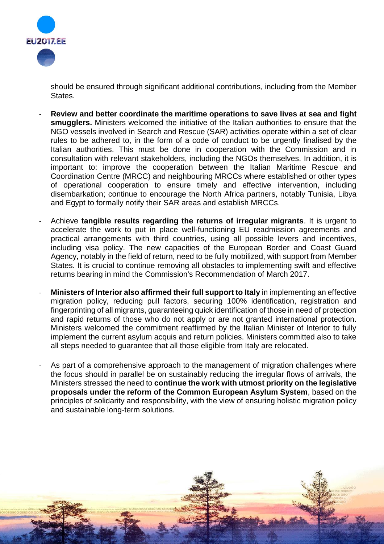

should be ensured through significant additional contributions, including from the Member States.

- **Review and better coordinate the maritime operations to save lives at sea and fight smugglers.** Ministers welcomed the initiative of the Italian authorities to ensure that the NGO vessels involved in Search and Rescue (SAR) activities operate within a set of clear rules to be adhered to, in the form of a code of conduct to be urgently finalised by the Italian authorities. This must be done in cooperation with the Commission and in consultation with relevant stakeholders, including the NGOs themselves. In addition, it is important to: improve the cooperation between the Italian Maritime Rescue and Coordination Centre (MRCC) and neighbouring MRCCs where established or other types of operational cooperation to ensure timely and effective intervention, including disembarkation; continue to encourage the North Africa partners, notably Tunisia, Libya and Egypt to formally notify their SAR areas and establish MRCCs.
- Achieve **tangible results regarding the returns of irregular migrants**. It is urgent to accelerate the work to put in place well-functioning EU readmission agreements and practical arrangements with third countries, using all possible levers and incentives, including visa policy. The new capacities of the European Border and Coast Guard Agency, notably in the field of return, need to be fully mobilized, with support from Member States. It is crucial to continue removing all obstacles to implementing swift and effective returns bearing in mind the Commission's Recommendation of March 2017.
- **Ministers of Interior also affirmed their full support to Italy** in implementing an effective migration policy, reducing pull factors, securing 100% identification, registration and fingerprinting of all migrants, guaranteeing quick identification of those in need of protection and rapid returns of those who do not apply or are not granted international protection. Ministers welcomed the commitment reaffirmed by the Italian Minister of Interior to fully implement the current asylum acquis and return policies. Ministers committed also to take all steps needed to guarantee that all those eligible from Italy are relocated.
- As part of a comprehensive approach to the management of migration challenges where the focus should in parallel be on sustainably reducing the irregular flows of arrivals, the Ministers stressed the need to **continue the work with utmost priority on the legislative proposals under the reform of the Common European Asylum System**, based on the principles of solidarity and responsibility, with the view of ensuring holistic migration policy and sustainable long-term solutions.